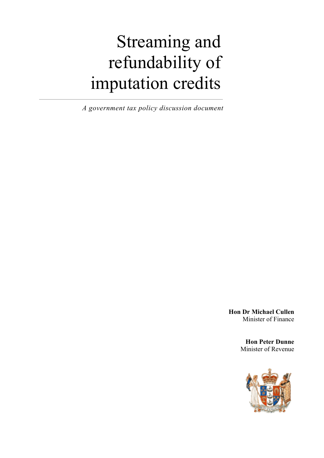# Streaming and refundability of imputation credits

*A government tax policy discussion document* 

**Hon Dr Michael Cullen**  Minister of Finance

> **Hon Peter Dunne** Minister of Revenue

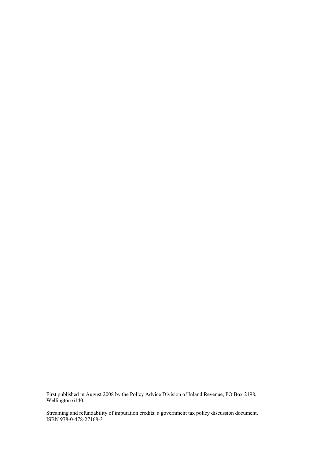First published in August 2008 by the Policy Advice Division of Inland Revenue, PO Box 2198, Wellington 6140.

Streaming and refundability of imputation credits: a government tax policy discussion document. ISBN 978-0-478-27168-3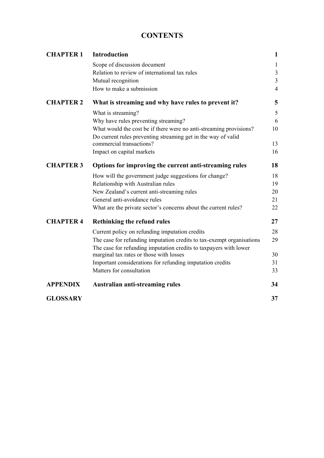# **CONTENTS**

| <b>CHAPTER 1</b> | <b>Introduction</b>                                                                                                                        | $\mathbf{1}$   |
|------------------|--------------------------------------------------------------------------------------------------------------------------------------------|----------------|
|                  | Scope of discussion document                                                                                                               | $\mathbf{1}$   |
|                  | Relation to review of international tax rules                                                                                              | $\overline{3}$ |
|                  | Mutual recognition                                                                                                                         | $\overline{3}$ |
|                  | How to make a submission                                                                                                                   | $\overline{4}$ |
| <b>CHAPTER 2</b> | What is streaming and why have rules to prevent it?                                                                                        | 5              |
|                  | What is streaming?                                                                                                                         | 5              |
|                  | Why have rules preventing streaming?                                                                                                       | 6              |
|                  | What would the cost be if there were no anti-streaming provisions?                                                                         | 10             |
|                  | Do current rules preventing streaming get in the way of valid                                                                              |                |
|                  | commercial transactions?                                                                                                                   | 13             |
|                  | Impact on capital markets                                                                                                                  | 16             |
| <b>CHAPTER 3</b> | Options for improving the current anti-streaming rules                                                                                     | 18             |
|                  | How will the government judge suggestions for change?                                                                                      | 18             |
|                  | Relationship with Australian rules                                                                                                         | 19             |
|                  | New Zealand's current anti-streaming rules                                                                                                 | 20             |
|                  | General anti-avoidance rules                                                                                                               | 21             |
|                  | What are the private sector's concerns about the current rules?                                                                            | 22             |
| <b>CHAPTER 4</b> | <b>Rethinking the refund rules</b>                                                                                                         | 27             |
|                  | Current policy on refunding imputation credits                                                                                             | 28             |
|                  | The case for refunding imputation credits to tax-exempt organisations<br>The case for refunding imputation credits to taxpayers with lower | 29             |
|                  | marginal tax rates or those with losses                                                                                                    | 30             |
|                  | Important considerations for refunding imputation credits                                                                                  | 31             |
|                  | Matters for consultation                                                                                                                   | 33             |
| <b>APPENDIX</b>  | <b>Australian anti-streaming rules</b>                                                                                                     | 34             |
| <b>GLOSSARY</b>  |                                                                                                                                            | 37             |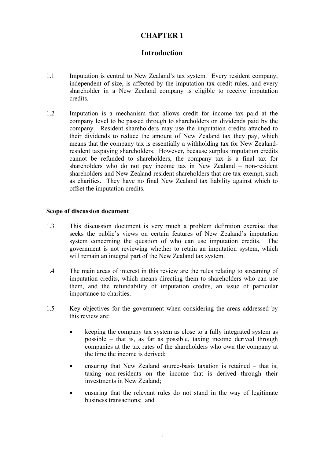# **CHAPTER 1**

## **Introduction**

- <span id="page-4-0"></span>1.1 Imputation is central to New Zealand's tax system. Every resident company, independent of size, is affected by the imputation tax credit rules, and every shareholder in a New Zealand company is eligible to receive imputation credits.
- 1.2 Imputation is a mechanism that allows credit for income tax paid at the company level to be passed through to shareholders on dividends paid by the company. Resident shareholders may use the imputation credits attached to their dividends to reduce the amount of New Zealand tax they pay, which means that the company tax is essentially a withholding tax for New Zealandresident taxpaying shareholders. However, because surplus imputation credits cannot be refunded to shareholders, the company tax is a final tax for shareholders who do not pay income tax in New Zealand – non-resident shareholders and New Zealand-resident shareholders that are tax-exempt, such as charities. They have no final New Zealand tax liability against which to offset the imputation credits.

#### **Scope of discussion document**

- 1.3 This discussion document is very much a problem definition exercise that seeks the public's views on certain features of New Zealand's imputation system concerning the question of who can use imputation credits. The government is not reviewing whether to retain an imputation system, which will remain an integral part of the New Zealand tax system.
- 1.4 The main areas of interest in this review are the rules relating to streaming of imputation credits, which means directing them to shareholders who can use them, and the refundability of imputation credits, an issue of particular importance to charities.
- 1.5 Key objectives for the government when considering the areas addressed by this review are:
	- keeping the company tax system as close to a fully integrated system as possible – that is, as far as possible, taxing income derived through companies at the tax rates of the shareholders who own the company at the time the income is derived;
	- ensuring that New Zealand source-basis taxation is retained that is, taxing non-residents on the income that is derived through their investments in New Zealand;
	- ensuring that the relevant rules do not stand in the way of legitimate business transactions; and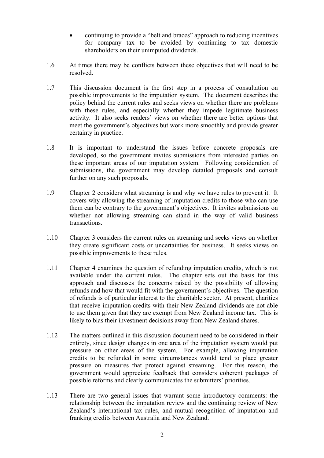- continuing to provide a "belt and braces" approach to reducing incentives for company tax to be avoided by continuing to tax domestic shareholders on their unimputed dividends.
- 1.6 At times there may be conflicts between these objectives that will need to be resolved.
- 1.7 This discussion document is the first step in a process of consultation on possible improvements to the imputation system. The document describes the policy behind the current rules and seeks views on whether there are problems with these rules, and especially whether they impede legitimate business activity. It also seeks readers' views on whether there are better options that meet the government's objectives but work more smoothly and provide greater certainty in practice.
- 1.8 It is important to understand the issues before concrete proposals are developed, so the government invites submissions from interested parties on these important areas of our imputation system. Following consideration of submissions, the government may develop detailed proposals and consult further on any such proposals.
- 1.9 Chapter 2 considers what streaming is and why we have rules to prevent it. It covers why allowing the streaming of imputation credits to those who can use them can be contrary to the government's objectives. It invites submissions on whether not allowing streaming can stand in the way of valid business transactions.
- 1.10 Chapter 3 considers the current rules on streaming and seeks views on whether they create significant costs or uncertainties for business. It seeks views on possible improvements to these rules.
- 1.11 Chapter 4 examines the question of refunding imputation credits, which is not available under the current rules. The chapter sets out the basis for this approach and discusses the concerns raised by the possibility of allowing refunds and how that would fit with the government's objectives. The question of refunds is of particular interest to the charitable sector. At present, charities that receive imputation credits with their New Zealand dividends are not able to use them given that they are exempt from New Zealand income tax. This is likely to bias their investment decisions away from New Zealand shares.
- 1.12 The matters outlined in this discussion document need to be considered in their entirety, since design changes in one area of the imputation system would put pressure on other areas of the system. For example, allowing imputation credits to be refunded in some circumstances would tend to place greater pressure on measures that protect against streaming. For this reason, the government would appreciate feedback that considers coherent packages of possible reforms and clearly communicates the submitters' priorities.
- 1.13 There are two general issues that warrant some introductory comments: the relationship between the imputation review and the continuing review of New Zealand's international tax rules, and mutual recognition of imputation and franking credits between Australia and New Zealand.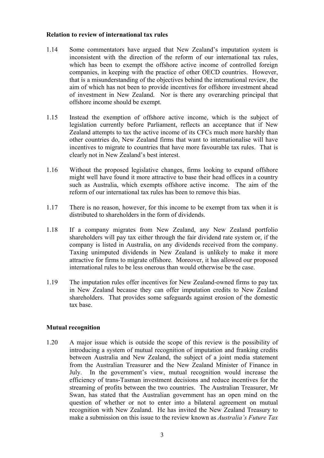#### <span id="page-6-0"></span>**Relation to review of international tax rules**

- 1.14 Some commentators have argued that New Zealand's imputation system is inconsistent with the direction of the reform of our international tax rules, which has been to exempt the offshore active income of controlled foreign companies, in keeping with the practice of other OECD countries. However, that is a misunderstanding of the objectives behind the international review, the aim of which has not been to provide incentives for offshore investment ahead of investment in New Zealand. Nor is there any overarching principal that offshore income should be exempt.
- 1.15 Instead the exemption of offshore active income, which is the subject of legislation currently before Parliament, reflects an acceptance that if New Zealand attempts to tax the active income of its CFCs much more harshly than other countries do, New Zealand firms that want to internationalise will have incentives to migrate to countries that have more favourable tax rules. That is clearly not in New Zealand's best interest.
- 1.16 Without the proposed legislative changes, firms looking to expand offshore might well have found it more attractive to base their head offices in a country such as Australia, which exempts offshore active income. The aim of the reform of our international tax rules has been to remove this bias.
- 1.17 There is no reason, however, for this income to be exempt from tax when it is distributed to shareholders in the form of dividends.
- 1.18 If a company migrates from New Zealand, any New Zealand portfolio shareholders will pay tax either through the fair dividend rate system or, if the company is listed in Australia, on any dividends received from the company. Taxing unimputed dividends in New Zealand is unlikely to make it more attractive for firms to migrate offshore. Moreover, it has allowed our proposed international rules to be less onerous than would otherwise be the case.
- 1.19 The imputation rules offer incentives for New Zealand-owned firms to pay tax in New Zealand because they can offer imputation credits to New Zealand shareholders. That provides some safeguards against erosion of the domestic tax base.

#### **Mutual recognition**

1.20 A major issue which is outside the scope of this review is the possibility of introducing a system of mutual recognition of imputation and franking credits between Australia and New Zealand, the subject of a joint media statement from the Australian Treasurer and the New Zealand Minister of Finance in July. In the government's view, mutual recognition would increase the efficiency of trans-Tasman investment decisions and reduce incentives for the streaming of profits between the two countries. The Australian Treasurer, Mr Swan, has stated that the Australian government has an open mind on the question of whether or not to enter into a bilateral agreement on mutual recognition with New Zealand. He has invited the New Zealand Treasury to make a submission on this issue to the review known as *Australia's Future Tax*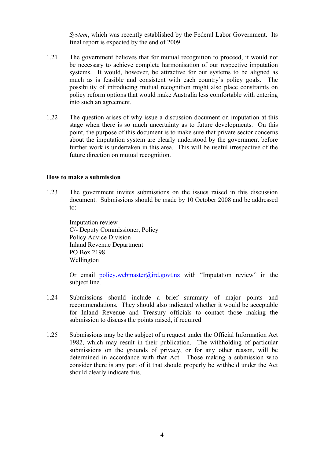*System*, which was recently established by the Federal Labor Government. Its final report is expected by the end of 2009.

- <span id="page-7-0"></span>1.21 The government believes that for mutual recognition to proceed, it would not be necessary to achieve complete harmonisation of our respective imputation systems. It would, however, be attractive for our systems to be aligned as much as is feasible and consistent with each country's policy goals. The possibility of introducing mutual recognition might also place constraints on policy reform options that would make Australia less comfortable with entering into such an agreement.
- 1.22 The question arises of why issue a discussion document on imputation at this stage when there is so much uncertainty as to future developments. On this point, the purpose of this document is to make sure that private sector concerns about the imputation system are clearly understood by the government before further work is undertaken in this area. This will be useful irrespective of the future direction on mutual recognition.

#### **How to make a submission**

1.23 The government invites submissions on the issues raised in this discussion document. Submissions should be made by 10 October 2008 and be addressed to:

Imputation review C/- Deputy Commissioner, Policy Policy Advice Division Inland Revenue Department PO Box 2198 Wellington

Or email policy.webmaster@ird.govt.nz with "Imputation review" in the subject line.

- 1.24 Submissions should include a brief summary of major points and recommendations. They should also indicated whether it would be acceptable for Inland Revenue and Treasury officials to contact those making the submission to discuss the points raised, if required.
- 1.25 Submissions may be the subject of a request under the Official Information Act 1982, which may result in their publication. The withholding of particular submissions on the grounds of privacy, or for any other reason, will be determined in accordance with that Act. Those making a submission who consider there is any part of it that should properly be withheld under the Act should clearly indicate this.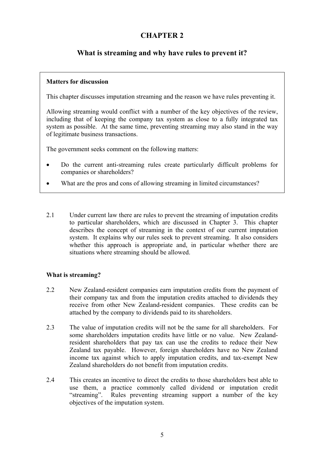# **CHAPTER 2**

# <span id="page-8-0"></span>**What is streaming and why have rules to prevent it?**

#### **Matters for discussion**

This chapter discusses imputation streaming and the reason we have rules preventing it.

Allowing streaming would conflict with a number of the key objectives of the review, including that of keeping the company tax system as close to a fully integrated tax system as possible. At the same time, preventing streaming may also stand in the way of legitimate business transactions.

The government seeks comment on the following matters:

- Do the current anti-streaming rules create particularly difficult problems for companies or shareholders?
- What are the pros and cons of allowing streaming in limited circumstances?
- 2.1 Under current law there are rules to prevent the streaming of imputation credits to particular shareholders, which are discussed in Chapter 3. This chapter describes the concept of streaming in the context of our current imputation system. It explains why our rules seek to prevent streaming. It also considers whether this approach is appropriate and, in particular whether there are situations where streaming should be allowed.

## **What is streaming?**

- 2.2 New Zealand-resident companies earn imputation credits from the payment of their company tax and from the imputation credits attached to dividends they receive from other New Zealand-resident companies. These credits can be attached by the company to dividends paid to its shareholders.
- 2.3 The value of imputation credits will not be the same for all shareholders. For some shareholders imputation credits have little or no value. New Zealandresident shareholders that pay tax can use the credits to reduce their New Zealand tax payable. However, foreign shareholders have no New Zealand income tax against which to apply imputation credits, and tax-exempt New Zealand shareholders do not benefit from imputation credits.
- 2.4 This creates an incentive to direct the credits to those shareholders best able to use them, a practice commonly called dividend or imputation credit "streaming". Rules preventing streaming support a number of the key objectives of the imputation system.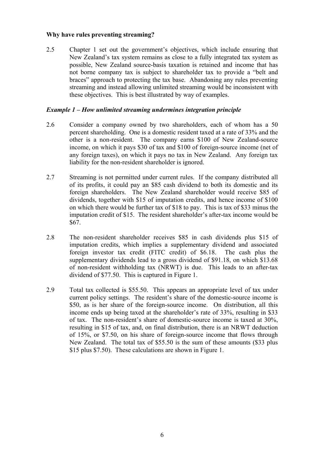#### **Why have rules preventing streaming?**

2.5 Chapter 1 set out the government's objectives, which include ensuring that New Zealand's tax system remains as close to a fully integrated tax system as possible, New Zealand source-basis taxation is retained and income that has not borne company tax is subject to shareholder tax to provide a "belt and braces" approach to protecting the tax base. Abandoning any rules preventing streaming and instead allowing unlimited streaming would be inconsistent with these objectives. This is best illustrated by way of examples.

#### *Example 1 – How unlimited streaming undermines integration principle*

- 2.6 Consider a company owned by two shareholders, each of whom has a 50 percent shareholding. One is a domestic resident taxed at a rate of 33% and the other is a non-resident. The company earns \$100 of New Zealand-source income, on which it pays \$30 of tax and \$100 of foreign-source income (net of any foreign taxes), on which it pays no tax in New Zealand. Any foreign tax liability for the non-resident shareholder is ignored.
- 2.7 Streaming is not permitted under current rules. If the company distributed all of its profits, it could pay an \$85 cash dividend to both its domestic and its foreign shareholders. The New Zealand shareholder would receive \$85 of dividends, together with \$15 of imputation credits, and hence income of \$100 on which there would be further tax of \$18 to pay. This is tax of \$33 minus the imputation credit of \$15. The resident shareholder's after-tax income would be \$67.
- 2.8 The non-resident shareholder receives \$85 in cash dividends plus \$15 of imputation credits, which implies a supplementary dividend and associated foreign investor tax credit (FITC credit) of \$6.18. The cash plus the supplementary dividends lead to a gross dividend of \$91.18, on which \$13.68 of non-resident withholding tax (NRWT) is due. This leads to an after-tax dividend of \$77.50. This is captured in Figure 1.
- 2.9 Total tax collected is \$55.50. This appears an appropriate level of tax under current policy settings. The resident's share of the domestic-source income is \$50, as is her share of the foreign-source income. On distribution, all this income ends up being taxed at the shareholder's rate of 33%, resulting in \$33 of tax. The non-resident's share of domestic-source income is taxed at 30%, resulting in \$15 of tax, and, on final distribution, there is an NRWT deduction of 15%, or \$7.50, on his share of foreign-source income that flows through New Zealand. The total tax of \$55.50 is the sum of these amounts (\$33 plus \$15 plus \$7.50). These calculations are shown in Figure 1.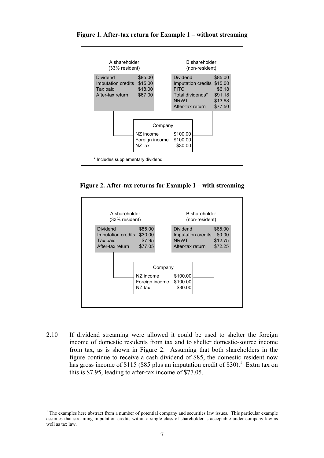

**Figure 1. After-tax return for Example 1 – without streaming** 

**Figure 2. After-tax returns for Example 1 – with streaming** 



2.10 If dividend streaming were allowed it could be used to shelter the foreign income of domestic residents from tax and to shelter domestic-source income from tax, as is shown in Figure 2. Assuming that both shareholders in the figure continue to receive a cash dividend of \$85, the domestic resident now has gross income of \$115 (\$85 plus an imputation credit of \$30).<sup>1</sup> Extra tax on this is \$7.95, leading to after-tax income of \$77.05.

 $\overline{a}$ <sup>1</sup> The examples here abstract from a number of potential company and securities law issues. This particular example assumes that streaming imputation credits within a single class of shareholder is acceptable under company law as well as tax law.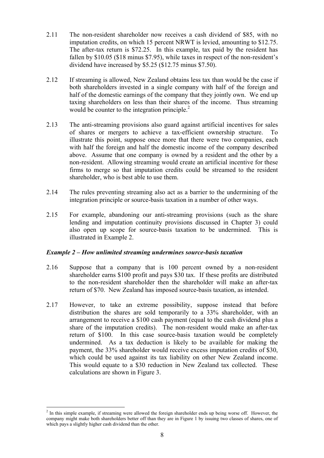- 2.11 The non-resident shareholder now receives a cash dividend of \$85, with no imputation credits, on which 15 percent NRWT is levied, amounting to \$12.75. The after-tax return is \$72.25. In this example, tax paid by the resident has fallen by \$10.05 (\$18 minus \$7.95), while taxes in respect of the non-resident's dividend have increased by \$5.25 (\$12.75 minus \$7.50).
- 2.12 If streaming is allowed, New Zealand obtains less tax than would be the case if both shareholders invested in a single company with half of the foreign and half of the domestic earnings of the company that they jointly own. We end up taxing shareholders on less than their shares of the income. Thus streaming would be counter to the integration principle.<sup>2</sup>
- 2.13 The anti-streaming provisions also guard against artificial incentives for sales of shares or mergers to achieve a tax-efficient ownership structure. To illustrate this point, suppose once more that there were two companies, each with half the foreign and half the domestic income of the company described above. Assume that one company is owned by a resident and the other by a non-resident. Allowing streaming would create an artificial incentive for these firms to merge so that imputation credits could be streamed to the resident shareholder, who is best able to use them.
- 2.14 The rules preventing streaming also act as a barrier to the undermining of the integration principle or source-basis taxation in a number of other ways.
- 2.15 For example, abandoning our anti-streaming provisions (such as the share lending and imputation continuity provisions discussed in Chapter 3) could also open up scope for source-basis taxation to be undermined. This is illustrated in Example 2.

#### *Example 2 – How unlimited streaming undermines source-basis taxation*

- 2.16 Suppose that a company that is 100 percent owned by a non-resident shareholder earns \$100 profit and pays \$30 tax. If these profits are distributed to the non-resident shareholder then the shareholder will make an after-tax return of \$70. New Zealand has imposed source-basis taxation, as intended.
- 2.17 However, to take an extreme possibility, suppose instead that before distribution the shares are sold temporarily to a 33% shareholder, with an arrangement to receive a \$100 cash payment (equal to the cash dividend plus a share of the imputation credits). The non-resident would make an after-tax return of \$100. In this case source-basis taxation would be completely undermined. As a tax deduction is likely to be available for making the payment, the 33% shareholder would receive excess imputation credits of \$30, which could be used against its tax liability on other New Zealand income. This would equate to a \$30 reduction in New Zealand tax collected. These calculations are shown in Figure 3.

 $\overline{a}$ 

 $2$  In this simple example, if streaming were allowed the foreign shareholder ends up being worse off. However, the company might make both shareholders better off than they are in Figure 1 by issuing two classes of shares, one of which pays a slightly higher cash dividend than the other.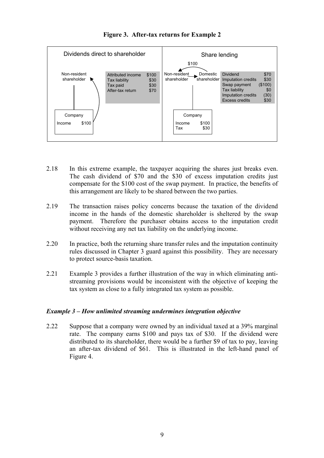

## **Figure 3. After-tax returns for Example 2**

- 2.18 In this extreme example, the taxpayer acquiring the shares just breaks even. The cash dividend of \$70 and the \$30 of excess imputation credits just compensate for the \$100 cost of the swap payment. In practice, the benefits of this arrangement are likely to be shared between the two parties.
- 2.19 The transaction raises policy concerns because the taxation of the dividend income in the hands of the domestic shareholder is sheltered by the swap payment. Therefore the purchaser obtains access to the imputation credit without receiving any net tax liability on the underlying income.
- 2.20 In practice, both the returning share transfer rules and the imputation continuity rules discussed in Chapter 3 guard against this possibility. They are necessary to protect source-basis taxation.
- 2.21 Example 3 provides a further illustration of the way in which eliminating antistreaming provisions would be inconsistent with the objective of keeping the tax system as close to a fully integrated tax system as possible.

#### *Example 3 – How unlimited streaming undermines integration objective*

2.22 Suppose that a company were owned by an individual taxed at a 39% marginal rate. The company earns \$100 and pays tax of \$30. If the dividend were distributed to its shareholder, there would be a further \$9 of tax to pay, leaving an after-tax dividend of \$61. This is illustrated in the left-hand panel of Figure 4.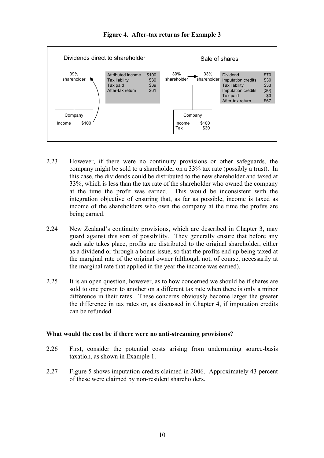<span id="page-13-0"></span>

**Figure 4. After-tax returns for Example 3** 

- 2.23 However, if there were no continuity provisions or other safeguards, the company might be sold to a shareholder on a 33% tax rate (possibly a trust). In this case, the dividends could be distributed to the new shareholder and taxed at 33%, which is less than the tax rate of the shareholder who owned the company at the time the profit was earned. This would be inconsistent with the integration objective of ensuring that, as far as possible, income is taxed as income of the shareholders who own the company at the time the profits are being earned.
- 2.24 New Zealand's continuity provisions, which are described in Chapter 3, may guard against this sort of possibility. They generally ensure that before any such sale takes place, profits are distributed to the original shareholder, either as a dividend or through a bonus issue, so that the profits end up being taxed at the marginal rate of the original owner (although not, of course, necessarily at the marginal rate that applied in the year the income was earned).
- 2.25 It is an open question, however, as to how concerned we should be if shares are sold to one person to another on a different tax rate when there is only a minor difference in their rates. These concerns obviously become larger the greater the difference in tax rates or, as discussed in Chapter 4, if imputation credits can be refunded.

#### **What would the cost be if there were no anti-streaming provisions?**

- 2.26 First, consider the potential costs arising from undermining source-basis taxation, as shown in Example 1.
- 2.27 Figure 5 shows imputation credits claimed in 2006. Approximately 43 percent of these were claimed by non-resident shareholders.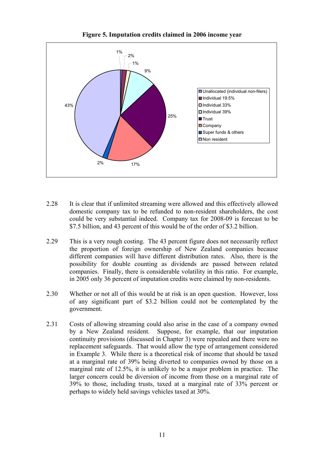

**Figure 5. Imputation credits claimed in 2006 income year** 

- 2.28 It is clear that if unlimited streaming were allowed and this effectively allowed domestic company tax to be refunded to non-resident shareholders, the cost could be very substantial indeed. Company tax for 2008-09 is forecast to be \$7.5 billion, and 43 percent of this would be of the order of \$3.2 billion.
- 2.29 This is a very rough costing. The 43 percent figure does not necessarily reflect the proportion of foreign ownership of New Zealand companies because different companies will have different distribution rates. Also, there is the possibility for double counting as dividends are passed between related companies. Finally, there is considerable volatility in this ratio. For example, in 2005 only 36 percent of imputation credits were claimed by non-residents.
- 2.30 Whether or not all of this would be at risk is an open question. However, loss of any significant part of \$3.2 billion could not be contemplated by the government.
- 2.31 Costs of allowing streaming could also arise in the case of a company owned by a New Zealand resident. Suppose, for example, that our imputation continuity provisions (discussed in Chapter 3) were repealed and there were no replacement safeguards. That would allow the type of arrangement considered in Example 3. While there is a theoretical risk of income that should be taxed at a marginal rate of 39% being diverted to companies owned by those on a marginal rate of 12.5%, it is unlikely to be a major problem in practice. The larger concern could be diversion of income from those on a marginal rate of 39% to those, including trusts, taxed at a marginal rate of 33% percent or perhaps to widely held savings vehicles taxed at 30%.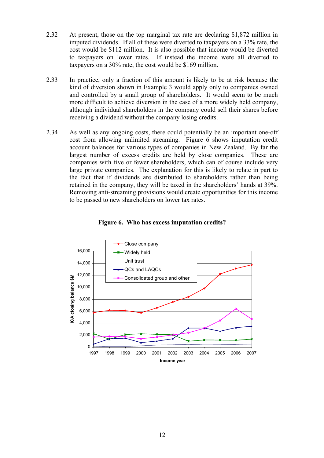- <span id="page-15-0"></span>2.32 At present, those on the top marginal tax rate are declaring \$1,872 million in imputed dividends. If all of these were diverted to taxpayers on a 33% rate, the cost would be \$112 million. It is also possible that income would be diverted to taxpayers on lower rates. If instead the income were all diverted to taxpayers on a 30% rate, the cost would be \$169 million.
- 2.33 In practice, only a fraction of this amount is likely to be at risk because the kind of diversion shown in Example 3 would apply only to companies owned and controlled by a small group of shareholders. It would seem to be much more difficult to achieve diversion in the case of a more widely held company, although individual shareholders in the company could sell their shares before receiving a dividend without the company losing credits.
- 2.34 As well as any ongoing costs, there could potentially be an important one-off cost from allowing unlimited streaming. Figure 6 shows imputation credit account balances for various types of companies in New Zealand. By far the largest number of excess credits are held by close companies. These are companies with five or fewer shareholders, which can of course include very large private companies. The explanation for this is likely to relate in part to the fact that if dividends are distributed to shareholders rather than being retained in the company, they will be taxed in the shareholders' hands at 39%. Removing anti-streaming provisions would create opportunities for this income to be passed to new shareholders on lower tax rates.



**Figure 6. Who has excess imputation credits?**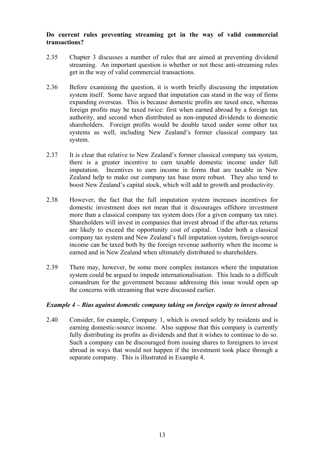#### **Do current rules preventing streaming get in the way of valid commercial transactions?**

- 2.35 Chapter 3 discusses a number of rules that are aimed at preventing dividend streaming. An important question is whether or not these anti-streaming rules get in the way of valid commercial transactions.
- 2.36 Before examining the question, it is worth briefly discussing the imputation system itself. Some have argued that imputation can stand in the way of firms expanding overseas. This is because domestic profits are taxed once, whereas foreign profits may be taxed twice: first when earned abroad by a foreign tax authority, and second when distributed as non-imputed dividends to domestic shareholders. Foreign profits would be double taxed under some other tax systems as well, including New Zealand's former classical company tax system.
- 2.37 It is clear that relative to New Zealand's former classical company tax system, there is a greater incentive to earn taxable domestic income under full imputation. Incentives to earn income in forms that are taxable in New Zealand help to make our company tax base more robust. They also tend to boost New Zealand's capital stock, which will add to growth and productivity.
- 2.38 However, the fact that the full imputation system increases incentives for domestic investment does not mean that it discourages offshore investment more than a classical company tax system does (for a given company tax rate). Shareholders will invest in companies that invest abroad if the after-tax returns are likely to exceed the opportunity cost of capital. Under both a classical company tax system and New Zealand's full imputation system, foreign-source income can be taxed both by the foreign revenue authority when the income is earned and in New Zealand when ultimately distributed to shareholders.
- 2.39 There may, however, be some more complex instances where the imputation system could be argued to impede internationalisation. This leads to a difficult conundrum for the government because addressing this issue would open up the concerns with streaming that were discussed earlier.

#### *Example 4 – Bias against domestic company taking on foreign equity to invest abroad*

2.40 Consider, for example, Company 1, which is owned solely by residents and is earning domestic-source income. Also suppose that this company is currently fully distributing its profits as dividends and that it wishes to continue to do so. Such a company can be discouraged from issuing shares to foreigners to invest abroad in ways that would not happen if the investment took place through a separate company. This is illustrated in Example 4.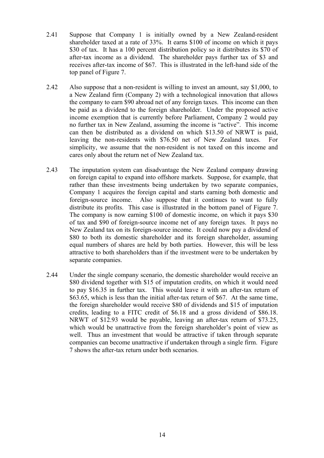- 2.41 Suppose that Company 1 is initially owned by a New Zealand-resident shareholder taxed at a rate of 33%. It earns \$100 of income on which it pays \$30 of tax. It has a 100 percent distribution policy so it distributes its \$70 of after-tax income as a dividend. The shareholder pays further tax of \$3 and receives after-tax income of \$67. This is illustrated in the left-hand side of the top panel of Figure 7.
- 2.42 Also suppose that a non-resident is willing to invest an amount, say \$1,000, to a New Zealand firm (Company 2) with a technological innovation that allows the company to earn \$90 abroad net of any foreign taxes. This income can then be paid as a dividend to the foreign shareholder. Under the proposed active income exemption that is currently before Parliament, Company 2 would pay no further tax in New Zealand, assuming the income is "active". This income can then be distributed as a dividend on which \$13.50 of NRWT is paid, leaving the non-residents with \$76.50 net of New Zealand taxes. For simplicity, we assume that the non-resident is not taxed on this income and cares only about the return net of New Zealand tax.
- 2.43 The imputation system can disadvantage the New Zealand company drawing on foreign capital to expand into offshore markets. Suppose, for example, that rather than these investments being undertaken by two separate companies, Company 1 acquires the foreign capital and starts earning both domestic and foreign-source income. Also suppose that it continues to want to fully distribute its profits. This case is illustrated in the bottom panel of Figure 7. The company is now earning \$100 of domestic income, on which it pays \$30 of tax and \$90 of foreign-source income net of any foreign taxes. It pays no New Zealand tax on its foreign-source income. It could now pay a dividend of \$80 to both its domestic shareholder and its foreign shareholder, assuming equal numbers of shares are held by both parties. However, this will be less attractive to both shareholders than if the investment were to be undertaken by separate companies.
- 2.44 Under the single company scenario, the domestic shareholder would receive an \$80 dividend together with \$15 of imputation credits, on which it would need to pay \$16.35 in further tax. This would leave it with an after-tax return of \$63.65, which is less than the initial after-tax return of \$67. At the same time, the foreign shareholder would receive \$80 of dividends and \$15 of imputation credits, leading to a FITC credit of \$6.18 and a gross dividend of \$86.18. NRWT of \$12.93 would be payable, leaving an after-tax return of \$73.25, which would be unattractive from the foreign shareholder's point of view as well. Thus an investment that would be attractive if taken through separate companies can become unattractive if undertaken through a single firm. Figure 7 shows the after-tax return under both scenarios.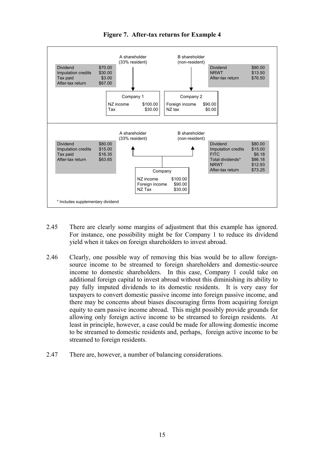

**Figure 7. After-tax returns for Example 4** 

- 2.45 There are clearly some margins of adjustment that this example has ignored. For instance, one possibility might be for Company 1 to reduce its dividend yield when it takes on foreign shareholders to invest abroad.
- 2.46 Clearly, one possible way of removing this bias would be to allow foreignsource income to be streamed to foreign shareholders and domestic-source income to domestic shareholders. In this case, Company 1 could take on additional foreign capital to invest abroad without this diminishing its ability to pay fully imputed dividends to its domestic residents. It is very easy for taxpayers to convert domestic passive income into foreign passive income, and there may be concerns about biases discouraging firms from acquiring foreign equity to earn passive income abroad. This might possibly provide grounds for allowing only foreign active income to be streamed to foreign residents. At least in principle, however, a case could be made for allowing domestic income to be streamed to domestic residents and, perhaps, foreign active income to be streamed to foreign residents.
- 2.47 There are, however, a number of balancing considerations.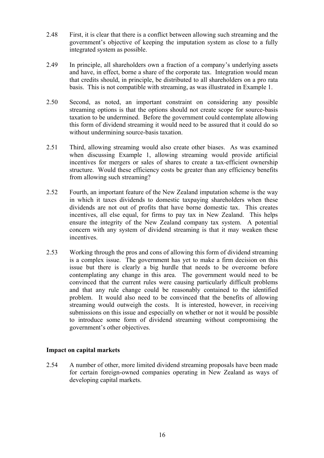- <span id="page-19-0"></span>2.48 First, it is clear that there is a conflict between allowing such streaming and the government's objective of keeping the imputation system as close to a fully integrated system as possible.
- 2.49 In principle, all shareholders own a fraction of a company's underlying assets and have, in effect, borne a share of the corporate tax. Integration would mean that credits should, in principle, be distributed to all shareholders on a pro rata basis. This is not compatible with streaming, as was illustrated in Example 1.
- 2.50 Second, as noted, an important constraint on considering any possible streaming options is that the options should not create scope for source-basis taxation to be undermined. Before the government could contemplate allowing this form of dividend streaming it would need to be assured that it could do so without undermining source-basis taxation.
- 2.51 Third, allowing streaming would also create other biases. As was examined when discussing Example 1, allowing streaming would provide artificial incentives for mergers or sales of shares to create a tax-efficient ownership structure. Would these efficiency costs be greater than any efficiency benefits from allowing such streaming?
- 2.52 Fourth, an important feature of the New Zealand imputation scheme is the way in which it taxes dividends to domestic taxpaying shareholders when these dividends are not out of profits that have borne domestic tax. This creates incentives, all else equal, for firms to pay tax in New Zealand. This helps ensure the integrity of the New Zealand company tax system. A potential concern with any system of dividend streaming is that it may weaken these incentives.
- 2.53 Working through the pros and cons of allowing this form of dividend streaming is a complex issue. The government has yet to make a firm decision on this issue but there is clearly a big hurdle that needs to be overcome before contemplating any change in this area. The government would need to be convinced that the current rules were causing particularly difficult problems and that any rule change could be reasonably contained to the identified problem. It would also need to be convinced that the benefits of allowing streaming would outweigh the costs. It is interested, however, in receiving submissions on this issue and especially on whether or not it would be possible to introduce some form of dividend streaming without compromising the government's other objectives.

#### **Impact on capital markets**

2.54 A number of other, more limited dividend streaming proposals have been made for certain foreign-owned companies operating in New Zealand as ways of developing capital markets.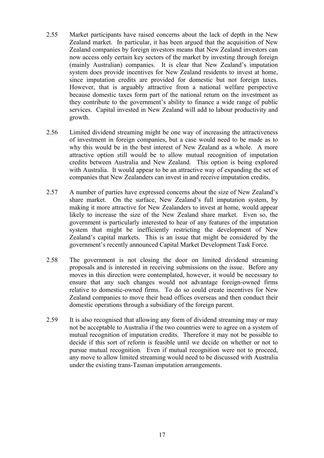- <span id="page-20-0"></span>2.55 Market participants have raised concerns about the lack of depth in the New Zealand market. In particular, it has been argued that the acquisition of New Zealand companies by foreign investors means that New Zealand investors can now access only certain key sectors of the market by investing through foreign (mainly Australian) companies. It is clear that New Zealand's imputation system does provide incentives for New Zealand residents to invest at home, since imputation credits are provided for domestic but not foreign taxes. However, that is arguably attractive from a national welfare perspective because domestic taxes form part of the national return on the investment as they contribute to the government's ability to finance a wide range of public services. Capital invested in New Zealand will add to labour productivity and growth.
- 2.56 Limited dividend streaming might be one way of increasing the attractiveness of investment in foreign companies, but a case would need to be made as to why this would be in the best interest of New Zealand as a whole. A more attractive option still would be to allow mutual recognition of imputation credits between Australia and New Zealand. This option is being explored with Australia. It would appear to be an attractive way of expanding the set of companies that New Zealanders can invest in and receive imputation credits.
- 2.57 A number of parties have expressed concerns about the size of New Zealand's share market. On the surface, New Zealand's full imputation system, by making it more attractive for New Zealanders to invest at home, would appear likely to increase the size of the New Zealand share market. Even so, the government is particularly interested to hear of any features of the imputation system that might be inefficiently restricting the development of New Zealand's capital markets. This is an issue that might be considered by the government's recently announced Capital Market Development Task Force.
- 2.58 The government is not closing the door on limited dividend streaming proposals and is interested in receiving submissions on the issue. Before any moves in this direction were contemplated, however, it would be necessary to ensure that any such changes would not advantage foreign-owned firms relative to domestic-owned firms. To do so could create incentives for New Zealand companies to move their head offices overseas and then conduct their domestic operations through a subsidiary of the foreign parent.
- 2.59 It is also recognised that allowing any form of dividend streaming may or may not be acceptable to Australia if the two countries were to agree on a system of mutual recognition of imputation credits. Therefore it may not be possible to decide if this sort of reform is feasible until we decide on whether or not to pursue mutual recognition. Even if mutual recognition were not to proceed, any move to allow limited streaming would need to be discussed with Australia under the existing trans-Tasman imputation arrangements.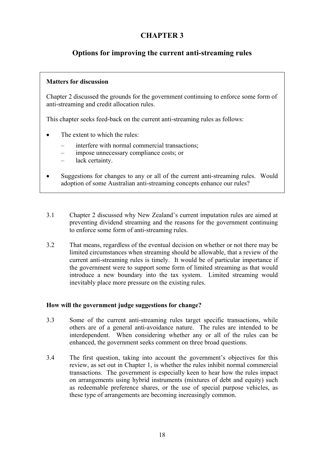# **CHAPTER 3**

# <span id="page-21-0"></span>**Options for improving the current anti-streaming rules**

#### **Matters for discussion**

Chapter 2 discussed the grounds for the government continuing to enforce some form of anti-streaming and credit allocation rules.

This chapter seeks feed-back on the current anti-streaming rules as follows:

- The extent to which the rules:
	- interfere with normal commercial transactions;
	- impose unnecessary compliance costs; or
	- lack certainty.
- Suggestions for changes to any or all of the current anti-streaming rules. Would adoption of some Australian anti-streaming concepts enhance our rules?
- 3.1 Chapter 2 discussed why New Zealand's current imputation rules are aimed at preventing dividend streaming and the reasons for the government continuing to enforce some form of anti-streaming rules.
- 3.2 That means, regardless of the eventual decision on whether or not there may be limited circumstances when streaming should be allowable, that a review of the current anti-streaming rules is timely. It would be of particular importance if the government were to support some form of limited streaming as that would introduce a new boundary into the tax system. Limited streaming would inevitably place more pressure on the existing rules.

#### **How will the government judge suggestions for change?**

- 3.3 Some of the current anti-streaming rules target specific transactions, while others are of a general anti-avoidance nature. The rules are intended to be interdependent. When considering whether any or all of the rules can be enhanced, the government seeks comment on three broad questions.
- 3.4 The first question, taking into account the government's objectives for this review, as set out in Chapter 1, is whether the rules inhibit normal commercial transactions. The government is especially keen to hear how the rules impact on arrangements using hybrid instruments (mixtures of debt and equity) such as redeemable preference shares, or the use of special purpose vehicles, as these type of arrangements are becoming increasingly common.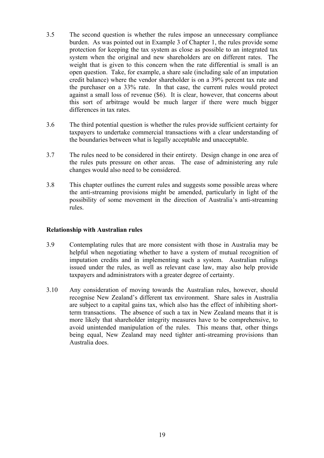- <span id="page-22-0"></span>3.5 The second question is whether the rules impose an unnecessary compliance burden. As was pointed out in Example 3 of Chapter 1, the rules provide some protection for keeping the tax system as close as possible to an integrated tax system when the original and new shareholders are on different rates. The weight that is given to this concern when the rate differential is small is an open question. Take, for example, a share sale (including sale of an imputation credit balance) where the vendor shareholder is on a 39% percent tax rate and the purchaser on a 33% rate. In that case, the current rules would protect against a small loss of revenue (\$6). It is clear, however, that concerns about this sort of arbitrage would be much larger if there were much bigger differences in tax rates.
- 3.6 The third potential question is whether the rules provide sufficient certainty for taxpayers to undertake commercial transactions with a clear understanding of the boundaries between what is legally acceptable and unacceptable.
- 3.7 The rules need to be considered in their entirety. Design change in one area of the rules puts pressure on other areas. The ease of administering any rule changes would also need to be considered.
- 3.8 This chapter outlines the current rules and suggests some possible areas where the anti-streaming provisions might be amended, particularly in light of the possibility of some movement in the direction of Australia's anti-streaming rules.

#### **Relationship with Australian rules**

- 3.9 Contemplating rules that are more consistent with those in Australia may be helpful when negotiating whether to have a system of mutual recognition of imputation credits and in implementing such a system. Australian rulings issued under the rules, as well as relevant case law, may also help provide taxpayers and administrators with a greater degree of certainty.
- 3.10 Any consideration of moving towards the Australian rules, however, should recognise New Zealand's different tax environment. Share sales in Australia are subject to a capital gains tax, which also has the effect of inhibiting shortterm transactions. The absence of such a tax in New Zealand means that it is more likely that shareholder integrity measures have to be comprehensive, to avoid unintended manipulation of the rules. This means that, other things being equal, New Zealand may need tighter anti-streaming provisions than Australia does.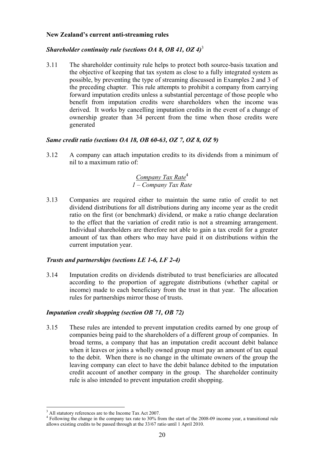#### <span id="page-23-0"></span>**New Zealand's current anti-streaming rules**

## *Shareholder continuity rule (sections OA 8, OB 41, OZ 4)*<sup>3</sup>

3.11 The shareholder continuity rule helps to protect both source-basis taxation and the objective of keeping that tax system as close to a fully integrated system as possible, by preventing the type of streaming discussed in Examples 2 and 3 of the preceding chapter. This rule attempts to prohibit a company from carrying forward imputation credits unless a substantial percentage of those people who benefit from imputation credits were shareholders when the income was derived. It works by cancelling imputation credits in the event of a change of ownership greater than 34 percent from the time when those credits were generated

#### *Same credit ratio (sections OA 18, OB 60-63, OZ 7, OZ 8, OZ 9)*

3.12 A company can attach imputation credits to its dividends from a minimum of nil to a maximum ratio of:

## *Company Tax Rate*<sup>4</sup> *1 – Company Tax Rate*

3.13 Companies are required either to maintain the same ratio of credit to net dividend distributions for all distributions during any income year as the credit ratio on the first (or benchmark) dividend, or make a ratio change declaration to the effect that the variation of credit ratio is not a streaming arrangement. Individual shareholders are therefore not able to gain a tax credit for a greater amount of tax than others who may have paid it on distributions within the current imputation year.

#### *Trusts and partnerships (sections LE 1-6, LF 2-4)*

3.14 Imputation credits on dividends distributed to trust beneficiaries are allocated according to the proportion of aggregate distributions (whether capital or income) made to each beneficiary from the trust in that year. The allocation rules for partnerships mirror those of trusts.

#### *Imputation credit shopping (section OB 71, OB 72)*

3.15 These rules are intended to prevent imputation credits earned by one group of companies being paid to the shareholders of a different group of companies. In broad terms, a company that has an imputation credit account debit balance when it leaves or joins a wholly owned group must pay an amount of tax equal to the debit. When there is no change in the ultimate owners of the group the leaving company can elect to have the debit balance debited to the imputation credit account of another company in the group. The shareholder continuity rule is also intended to prevent imputation credit shopping.

 $\overline{a}$ 

<sup>&</sup>lt;sup>3</sup> All statutory references are to the Income Tax Act 2007.

Following the change in the company tax rate to 30% from the start of the 2008-09 income year, a transitional rule allows existing credits to be passed through at the 33/67 ratio until 1 April 2010.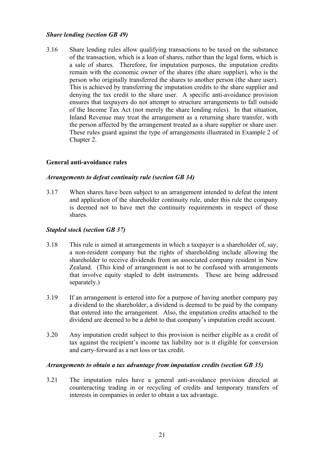#### <span id="page-24-0"></span>*Share lending (section GB 49)*

3.16 Share lending rules allow qualifying transactions to be taxed on the substance of the transaction, which is a loan of shares, rather than the legal form, which is a sale of shares. Therefore, for imputation purposes, the imputation credits remain with the economic owner of the shares (the share supplier), who is the person who originally transferred the shares to another person (the share user). This is achieved by transferring the imputation credits to the share supplier and denying the tax credit to the share user. A specific anti-avoidance provision ensures that taxpayers do not attempt to structure arrangements to fall outside of the Income Tax Act (not merely the share lending rules). In that situation, Inland Revenue may treat the arrangement as a returning share transfer, with the person affected by the arrangement treated as a share supplier or share user. These rules guard against the type of arrangements illustrated in Example 2 of Chapter 2.

#### **General anti-avoidance rules**

#### *Arrangements to defeat continuity rule (section GB 34)*

3.17 When shares have been subject to an arrangement intended to defeat the intent and application of the shareholder continuity rule, under this rule the company is deemed not to have met the continuity requirements in respect of those shares.

#### *Stapled stock (section GB 37)*

- 3.18 This rule is aimed at arrangements in which a taxpayer is a shareholder of, say, a non-resident company but the rights of shareholding include allowing the shareholder to receive dividends from an associated company resident in New Zealand. (This kind of arrangement is not to be confused with arrangements that involve equity stapled to debt instruments. These are being addressed separately.)
- 3.19 If an arrangement is entered into for a purpose of having another company pay a dividend to the shareholder, a dividend is deemed to be paid by the company that entered into the arrangement. Also, the imputation credits attached to the dividend are deemed to be a debit to that company's imputation credit account.
- 3.20 Any imputation credit subject to this provision is neither eligible as a credit of tax against the recipient's income tax liability nor is it eligible for conversion and carry-forward as a net loss or tax credit.

#### *Arrangements to obtain a tax advantage from imputation credits (section GB 35)*

3.21 The imputation rules have a general anti-avoidance provision directed at counteracting trading in or recycling of credits and temporary transfers of interests in companies in order to obtain a tax advantage.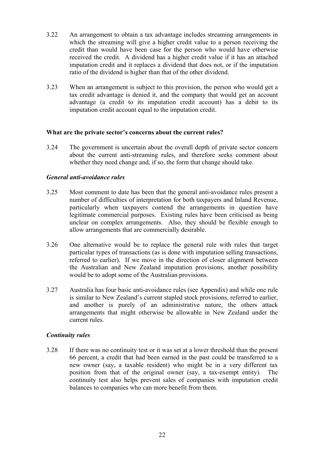- <span id="page-25-0"></span>3.22 An arrangement to obtain a tax advantage includes streaming arrangements in which the streaming will give a higher credit value to a person receiving the credit than would have been case for the person who would have otherwise received the credit. A dividend has a higher credit value if it has an attached imputation credit and it replaces a dividend that does not, or if the imputation ratio of the dividend is higher than that of the other dividend.
- 3.23 When an arrangement is subject to this provision, the person who would get a tax credit advantage is denied it, and the company that would get an account advantage (a credit to its imputation credit account) has a debit to its imputation credit account equal to the imputation credit.

#### **What are the private sector's concerns about the current rules?**

3.24 The government is uncertain about the overall depth of private sector concern about the current anti-streaming rules, and therefore seeks comment about whether they need change and, if so, the form that change should take.

#### *General anti-avoidance rules*

- 3.25 Most comment to date has been that the general anti-avoidance rules present a number of difficulties of interpretation for both taxpayers and Inland Revenue, particularly when taxpayers contend the arrangements in question have legitimate commercial purposes. Existing rules have been criticised as being unclear on complex arrangements. Also, they should be flexible enough to allow arrangements that are commercially desirable.
- 3.26 One alternative would be to replace the general rule with rules that target particular types of transactions (as is done with imputation selling transactions, referred to earlier). If we move in the direction of closer alignment between the Australian and New Zealand imputation provisions, another possibility would be to adopt some of the Australian provisions.
- 3.27 Australia has four basic anti-avoidance rules (see Appendix) and while one rule is similar to New Zealand's current stapled stock provisions, referred to earlier, and another is purely of an administrative nature, the others attack arrangements that might otherwise be allowable in New Zealand under the current rules.

#### *Continuity rules*

3.28 If there was no continuity test or it was set at a lower threshold than the present 66 percent, a credit that had been earned in the past could be transferred to a new owner (say, a taxable resident) who might be in a very different tax position from that of the original owner (say, a tax-exempt entity). The continuity test also helps prevent sales of companies with imputation credit balances to companies who can more benefit from them.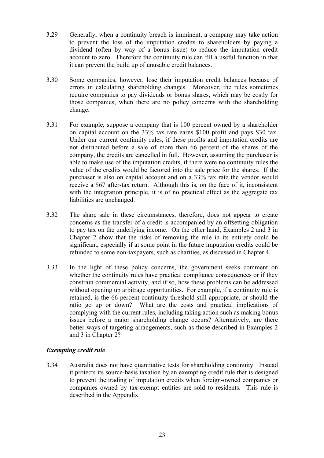- 3.29 Generally, when a continuity breach is imminent, a company may take action to prevent the loss of the imputation credits to shareholders by paying a dividend (often by way of a bonus issue) to reduce the imputation credit account to zero. Therefore the continuity rule can fill a useful function in that it can prevent the build up of unusable credit balances.
- 3.30 Some companies, however, lose their imputation credit balances because of errors in calculating shareholding changes. Moreover, the rules sometimes require companies to pay dividends or bonus shares, which may be costly for those companies, when there are no policy concerns with the shareholding change.
- 3.31 For example, suppose a company that is 100 percent owned by a shareholder on capital account on the 33% tax rate earns \$100 profit and pays \$30 tax. Under our current continuity rules, if these profits and imputation credits are not distributed before a sale of more than 66 percent of the shares of the company, the credits are cancelled in full. However, assuming the purchaser is able to make use of the imputation credits, if there were no continuity rules the value of the credits would be factored into the sale price for the shares. If the purchaser is also on capital account and on a 33% tax rate the vendor would receive a \$67 after-tax return. Although this is, on the face of it, inconsistent with the integration principle, it is of no practical effect as the aggregate tax liabilities are unchanged.
- 3.32 The share sale in these circumstances, therefore, does not appear to create concerns as the transfer of a credit is accompanied by an offsetting obligation to pay tax on the underlying income. On the other hand, Examples 2 and 3 in Chapter 2 show that the risks of removing the rule in its entirety could be significant, especially if at some point in the future imputation credits could be refunded to some non-taxpayers, such as charities, as discussed in Chapter 4.
- 3.33 In the light of these policy concerns, the government seeks comment on whether the continuity rules have practical compliance consequences or if they constrain commercial activity, and if so, how these problems can be addressed without opening up arbitrage opportunities. For example, if a continuity rule is retained, is the 66 percent continuity threshold still appropriate, or should the ratio go up or down? What are the costs and practical implications of complying with the current rules, including taking action such as making bonus issues before a major shareholding change occurs? Alternatively, are there better ways of targeting arrangements, such as those described in Examples 2 and 3 in Chapter 2?

#### *Exempting credit rule*

3.34 Australia does not have quantitative tests for shareholding continuity. Instead it protects its source-basis taxation by an exempting credit rule that is designed to prevent the trading of imputation credits when foreign-owned companies or companies owned by tax-exempt entities are sold to residents. This rule is described in the Appendix.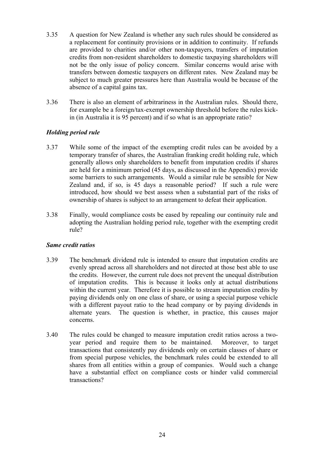- 3.35 A question for New Zealand is whether any such rules should be considered as a replacement for continuity provisions or in addition to continuity. If refunds are provided to charities and/or other non-taxpayers, transfers of imputation credits from non-resident shareholders to domestic taxpaying shareholders will not be the only issue of policy concern. Similar concerns would arise with transfers between domestic taxpayers on different rates. New Zealand may be subject to much greater pressures here than Australia would be because of the absence of a capital gains tax.
- 3.36 There is also an element of arbitrariness in the Australian rules. Should there, for example be a foreign/tax-exempt ownership threshold before the rules kickin (in Australia it is 95 percent) and if so what is an appropriate ratio?

## *Holding period rule*

- 3.37 While some of the impact of the exempting credit rules can be avoided by a temporary transfer of shares, the Australian franking credit holding rule, which generally allows only shareholders to benefit from imputation credits if shares are held for a minimum period (45 days, as discussed in the Appendix) provide some barriers to such arrangements. Would a similar rule be sensible for New Zealand and, if so, is 45 days a reasonable period? If such a rule were introduced, how should we best assess when a substantial part of the risks of ownership of shares is subject to an arrangement to defeat their application.
- 3.38 Finally, would compliance costs be eased by repealing our continuity rule and adopting the Australian holding period rule, together with the exempting credit rule?

#### *Same credit ratios*

- 3.39 The benchmark dividend rule is intended to ensure that imputation credits are evenly spread across all shareholders and not directed at those best able to use the credits. However, the current rule does not prevent the unequal distribution of imputation credits. This is because it looks only at actual distributions within the current year. Therefore it is possible to stream imputation credits by paying dividends only on one class of share, or using a special purpose vehicle with a different payout ratio to the head company or by paying dividends in alternate years. The question is whether, in practice, this causes major concerns.
- 3.40 The rules could be changed to measure imputation credit ratios across a twoyear period and require them to be maintained. Moreover, to target transactions that consistently pay dividends only on certain classes of share or from special purpose vehicles, the benchmark rules could be extended to all shares from all entities within a group of companies. Would such a change have a substantial effect on compliance costs or hinder valid commercial transactions?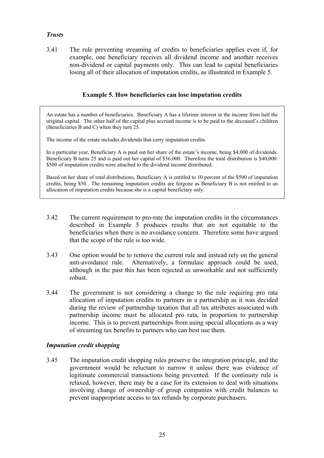#### *Trusts*

3.41 The rule preventing streaming of credits to beneficiaries applies even if, for example, one beneficiary receives all dividend income and another receives non-dividend or capital payments only. This can lead to capital beneficiaries losing all of their allocation of imputation credits, as illustrated in Example 5.

#### **Example 5. How beneficiaries can lose imputation credits**

An estate has a number of beneficiaries. Beneficiary A has a lifetime interest in the income from half the original capital. The other half of the capital plus accrued income is to be paid to the deceased's children (Beneficiaries B and C) when they turn 25.

The income of the estate includes dividends that carry imputation credits.

In a particular year, Beneficiary A is paid out her share of the estate's income, being \$4,000 of dividends. Beneficiary B turns 25 and is paid out her capital of \$36,000. Therefore the total distribution is \$40,000. \$500 of imputation credits were attached to the dividend income distributed.

Based on her share of total distributions, Beneficiary A is entitled to 10 percent of the \$500 of imputation credits, being \$50. The remaining imputation credits are forgone as Beneficiary B is not entitled to an allocation of imputation credits because she is a capital beneficiary only.

- 3.42 The current requirement to pro-rate the imputation credits in the circumstances described in Example 5 produces results that are not equitable to the beneficiaries when there is no avoidance concern. Therefore some have argued that the scope of the rule is too wide.
- 3.43 One option would be to remove the current rule and instead rely on the general anti-avoidance rule. Alternatively, a formulaic approach could be used, although in the past this has been rejected as unworkable and not sufficiently robust.
- 3.44 The government is not considering a change to the rule requiring pro rata allocation of imputation credits to partners in a partnership as it was decided during the review of partnership taxation that all tax attributes associated with partnership income must be allocated pro rata, in proportion to partnership income. This is to prevent partnerships from using special allocations as a way of streaming tax benefits to partners who can best use them.

#### *Imputation credit shopping*

3.45 The imputation credit shopping rules preserve the integration principle, and the government would be reluctant to narrow it unless there was evidence of legitimate commercial transactions being prevented. If the continuity rule is relaxed, however, there may be a case for its extension to deal with situations involving change of ownership of group companies with credit balances to prevent inappropriate access to tax refunds by corporate purchasers.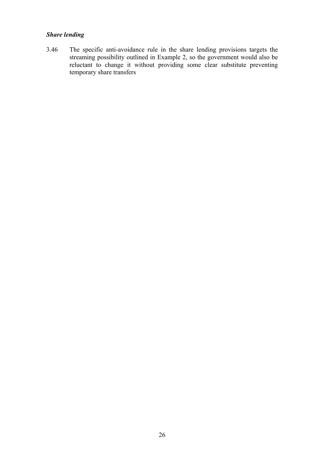## *Share lending*

3.46 The specific anti-avoidance rule in the share lending provisions targets the streaming possibility outlined in Example 2, so the government would also be reluctant to change it without providing some clear substitute preventing temporary share transfers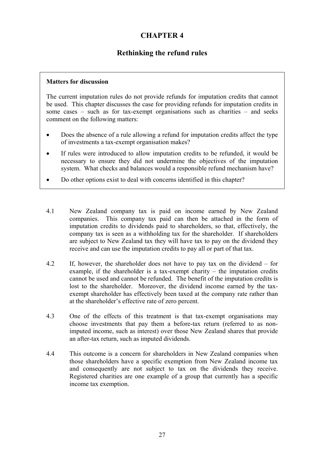# **CHAPTER 4**

## **Rethinking the refund rules**

#### <span id="page-30-0"></span>**Matters for discussion**

The current imputation rules do not provide refunds for imputation credits that cannot be used. This chapter discusses the case for providing refunds for imputation credits in some cases – such as for tax-exempt organisations such as charities – and seeks comment on the following matters:

- Does the absence of a rule allowing a refund for imputation credits affect the type of investments a tax-exempt organisation makes?
- If rules were introduced to allow imputation credits to be refunded, it would be necessary to ensure they did not undermine the objectives of the imputation system. What checks and balances would a responsible refund mechanism have?
- Do other options exist to deal with concerns identified in this chapter?
- 4.1 New Zealand company tax is paid on income earned by New Zealand companies. This company tax paid can then be attached in the form of imputation credits to dividends paid to shareholders, so that, effectively, the company tax is seen as a withholding tax for the shareholder. If shareholders are subject to New Zealand tax they will have tax to pay on the dividend they receive and can use the imputation credits to pay all or part of that tax.
- 4.2 If, however, the shareholder does not have to pay tax on the dividend for example, if the shareholder is a tax-exempt charity – the imputation credits cannot be used and cannot be refunded. The benefit of the imputation credits is lost to the shareholder. Moreover, the dividend income earned by the taxexempt shareholder has effectively been taxed at the company rate rather than at the shareholder's effective rate of zero percent.
- 4.3 One of the effects of this treatment is that tax-exempt organisations may choose investments that pay them a before-tax return (referred to as nonimputed income, such as interest) over those New Zealand shares that provide an after-tax return, such as imputed dividends.
- 4.4 This outcome is a concern for shareholders in New Zealand companies when those shareholders have a specific exemption from New Zealand income tax and consequently are not subject to tax on the dividends they receive. Registered charities are one example of a group that currently has a specific income tax exemption.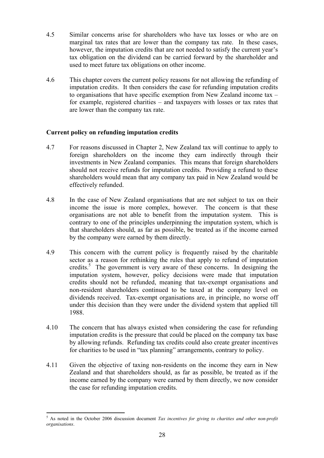- <span id="page-31-0"></span>4.5 Similar concerns arise for shareholders who have tax losses or who are on marginal tax rates that are lower than the company tax rate. In these cases, however, the imputation credits that are not needed to satisfy the current year's tax obligation on the dividend can be carried forward by the shareholder and used to meet future tax obligations on other income.
- 4.6 This chapter covers the current policy reasons for not allowing the refunding of imputation credits. It then considers the case for refunding imputation credits to organisations that have specific exemption from New Zealand income tax – for example, registered charities – and taxpayers with losses or tax rates that are lower than the company tax rate.

## **Current policy on refunding imputation credits**

- 4.7 For reasons discussed in Chapter 2, New Zealand tax will continue to apply to foreign shareholders on the income they earn indirectly through their investments in New Zealand companies. This means that foreign shareholders should not receive refunds for imputation credits. Providing a refund to these shareholders would mean that any company tax paid in New Zealand would be effectively refunded.
- 4.8 In the case of New Zealand organisations that are not subject to tax on their income the issue is more complex, however. The concern is that these organisations are not able to benefit from the imputation system. This is contrary to one of the principles underpinning the imputation system, which is that shareholders should, as far as possible, be treated as if the income earned by the company were earned by them directly.
- 4.9 This concern with the current policy is frequently raised by the charitable sector as a reason for rethinking the rules that apply to refund of imputation credits.<sup>5</sup> The government is very aware of these concerns. In designing the imputation system, however, policy decisions were made that imputation credits should not be refunded, meaning that tax-exempt organisations and non-resident shareholders continued to be taxed at the company level on dividends received. Tax-exempt organisations are, in principle, no worse off under this decision than they were under the dividend system that applied till 1988.
- 4.10 The concern that has always existed when considering the case for refunding imputation credits is the pressure that could be placed on the company tax base by allowing refunds. Refunding tax credits could also create greater incentives for charities to be used in "tax planning" arrangements, contrary to policy.
- 4.11 Given the objective of taxing non-residents on the income they earn in New Zealand and that shareholders should, as far as possible, be treated as if the income earned by the company were earned by them directly, we now consider the case for refunding imputation credits.

 $\overline{a}$ 

<sup>5</sup> As noted in the October 2006 discussion document *Tax incentives for giving to charities and other non-profit organisations*.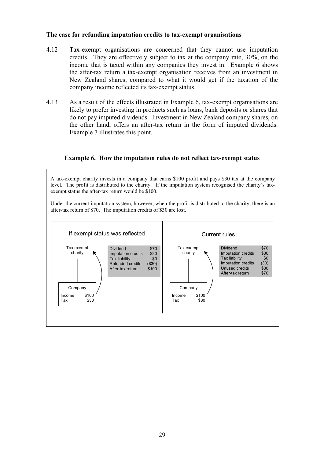#### **The case for refunding imputation credits to tax-exempt organisations**

- 4.12 Tax-exempt organisations are concerned that they cannot use imputation credits. They are effectively subject to tax at the company rate, 30%, on the income that is taxed within any companies they invest in. Example 6 shows the after-tax return a tax-exempt organisation receives from an investment in New Zealand shares, compared to what it would get if the taxation of the company income reflected its tax-exempt status.
- 4.13 As a result of the effects illustrated in Example 6, tax-exempt organisations are likely to prefer investing in products such as loans, bank deposits or shares that do not pay imputed dividends. Investment in New Zealand company shares, on the other hand, offers an after-tax return in the form of imputed dividends. Example 7 illustrates this point.



A tax-exempt charity invests in a company that earns \$100 profit and pays \$30 tax at the company level. The profit is distributed to the charity. If the imputation system recognised the charity's taxexempt status the after-tax return would be \$100.

Under the current imputation system, however, when the profit is distributed to the charity, there is an after-tax return of \$70. The imputation credits of \$30 are lost.

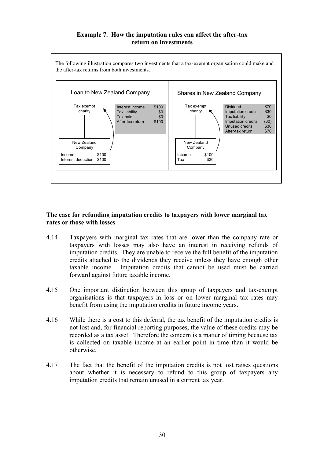#### **Example 7. How the imputation rules can affect the after-tax return on investments**

<span id="page-33-0"></span>

#### **The case for refunding imputation credits to taxpayers with lower marginal tax rates or those with losses**

- 4.14 Taxpayers with marginal tax rates that are lower than the company rate or taxpayers with losses may also have an interest in receiving refunds of imputation credits. They are unable to receive the full benefit of the imputation credits attached to the dividends they receive unless they have enough other taxable income. Imputation credits that cannot be used must be carried forward against future taxable income.
- 4.15 One important distinction between this group of taxpayers and tax-exempt organisations is that taxpayers in loss or on lower marginal tax rates may benefit from using the imputation credits in future income years.
- 4.16 While there is a cost to this deferral, the tax benefit of the imputation credits is not lost and, for financial reporting purposes, the value of these credits may be recorded as a tax asset. Therefore the concern is a matter of timing because tax is collected on taxable income at an earlier point in time than it would be otherwise.
- 4.17 The fact that the benefit of the imputation credits is not lost raises questions about whether it is necessary to refund to this group of taxpayers any imputation credits that remain unused in a current tax year.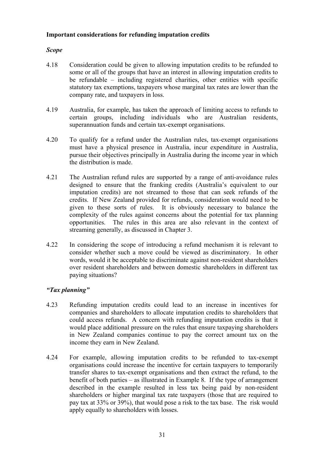#### <span id="page-34-0"></span>**Important considerations for refunding imputation credits**

## *Scope*

- 4.18 Consideration could be given to allowing imputation credits to be refunded to some or all of the groups that have an interest in allowing imputation credits to be refundable – including registered charities, other entities with specific statutory tax exemptions, taxpayers whose marginal tax rates are lower than the company rate, and taxpayers in loss.
- 4.19 Australia, for example, has taken the approach of limiting access to refunds to certain groups, including individuals who are Australian residents, superannuation funds and certain tax-exempt organisations.
- 4.20 To qualify for a refund under the Australian rules, tax-exempt organisations must have a physical presence in Australia, incur expenditure in Australia, pursue their objectives principally in Australia during the income year in which the distribution is made.
- 4.21 The Australian refund rules are supported by a range of anti-avoidance rules designed to ensure that the franking credits (Australia's equivalent to our imputation credits) are not streamed to those that can seek refunds of the credits. If New Zealand provided for refunds, consideration would need to be given to these sorts of rules. It is obviously necessary to balance the complexity of the rules against concerns about the potential for tax planning opportunities. The rules in this area are also relevant in the context of streaming generally, as discussed in Chapter 3.
- 4.22 In considering the scope of introducing a refund mechanism it is relevant to consider whether such a move could be viewed as discriminatory. In other words, would it be acceptable to discriminate against non-resident shareholders over resident shareholders and between domestic shareholders in different tax paying situations?

#### *"Tax planning"*

- 4.23 Refunding imputation credits could lead to an increase in incentives for companies and shareholders to allocate imputation credits to shareholders that could access refunds. A concern with refunding imputation credits is that it would place additional pressure on the rules that ensure taxpaying shareholders in New Zealand companies continue to pay the correct amount tax on the income they earn in New Zealand.
- 4.24 For example, allowing imputation credits to be refunded to tax-exempt organisations could increase the incentive for certain taxpayers to temporarily transfer shares to tax-exempt organisations and then extract the refund, to the benefit of both parties – as illustrated in Example 8. If the type of arrangement described in the example resulted in less tax being paid by non-resident shareholders or higher marginal tax rate taxpayers (those that are required to pay tax at 33% or 39%), that would pose a risk to the tax base. The risk would apply equally to shareholders with losses.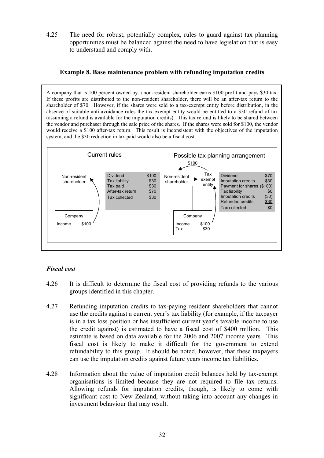4.25 The need for robust, potentially complex, rules to guard against tax planning opportunities must be balanced against the need to have legislation that is easy to understand and comply with.

#### **Example 8. Base maintenance problem with refunding imputation credits**

A company that is 100 percent owned by a non-resident shareholder earns \$100 profit and pays \$30 tax. If these profits are distributed to the non-resident shareholder, there will be an after-tax return to the shareholder of \$70. However, if the shares were sold to a tax-exempt entity before distribution, in the absence of suitable anti-avoidance rules the tax-exempt entity would be entitled to a \$30 refund of tax (assuming a refund is available for the imputation credits). This tax refund is likely to be shared between the vendor and purchaser through the sale price of the shares. If the shares were sold for \$100, the vendor would receive a \$100 after-tax return. This result is inconsistent with the objectives of the imputation system, and the \$30 reduction in tax paid would also be a fiscal cost.



## *Fiscal cost*

- 4.26 It is difficult to determine the fiscal cost of providing refunds to the various groups identified in this chapter.
- 4.27 Refunding imputation credits to tax-paying resident shareholders that cannot use the credits against a current year's tax liability (for example, if the taxpayer is in a tax loss position or has insufficient current year's taxable income to use the credit against) is estimated to have a fiscal cost of \$400 million. This estimate is based on data available for the 2006 and 2007 income years. This fiscal cost is likely to make it difficult for the government to extend refundability to this group. It should be noted, however, that these taxpayers can use the imputation credits against future years income tax liabilities.
- 4.28 Information about the value of imputation credit balances held by tax-exempt organisations is limited because they are not required to file tax returns. Allowing refunds for imputation credits, though, is likely to come with significant cost to New Zealand, without taking into account any changes in investment behaviour that may result.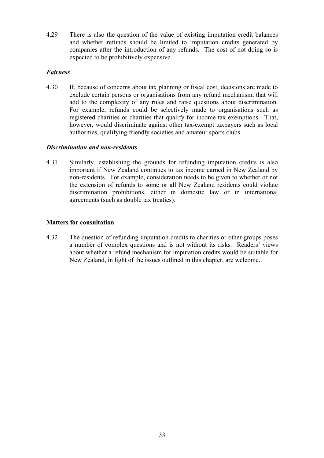<span id="page-36-0"></span>4.29 There is also the question of the value of existing imputation credit balances and whether refunds should be limited to imputation credits generated by companies after the introduction of any refunds. The cost of not doing so is expected to be prohibitively expensive.

#### *Fairness*

4.30 If, because of concerns about tax planning or fiscal cost, decisions are made to exclude certain persons or organisations from any refund mechanism, that will add to the complexity of any rules and raise questions about discrimination. For example, refunds could be selectively made to organisations such as registered charities or charities that qualify for income tax exemptions. That, however, would discriminate against other tax-exempt taxpayers such as local authorities, qualifying friendly societies and amateur sports clubs.

#### *Discrimination and non-residents*

4.31 Similarly, establishing the grounds for refunding imputation credits is also important if New Zealand continues to tax income earned in New Zealand by non-residents. For example, consideration needs to be given to whether or not the extension of refunds to some or all New Zealand residents could violate discrimination prohibitions, either in domestic law or in international agreements (such as double tax treaties).

#### **Matters for consultation**

4.32 The question of refunding imputation credits to charities or other groups poses a number of complex questions and is not without its risks. Readers' views about whether a refund mechanism for imputation credits would be suitable for New Zealand, in light of the issues outlined in this chapter, are welcome.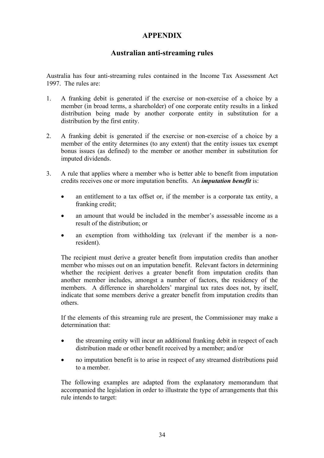# **APPENDIX**

## **Australian anti-streaming rules**

<span id="page-37-0"></span>Australia has four anti-streaming rules contained in the Income Tax Assessment Act 1997. The rules are:

- 1. A franking debit is generated if the exercise or non-exercise of a choice by a member (in broad terms, a shareholder) of one corporate entity results in a linked distribution being made by another corporate entity in substitution for a distribution by the first entity.
- 2. A franking debit is generated if the exercise or non-exercise of a choice by a member of the entity determines (to any extent) that the entity issues tax exempt bonus issues (as defined) to the member or another member in substitution for imputed dividends.
- 3. A rule that applies where a member who is better able to benefit from imputation credits receives one or more imputation benefits. An *imputation benefit* is:
	- an entitlement to a tax offset or, if the member is a corporate tax entity, a franking credit;
	- an amount that would be included in the member's assessable income as a result of the distribution; or
	- an exemption from withholding tax (relevant if the member is a nonresident).

 The recipient must derive a greater benefit from imputation credits than another member who misses out on an imputation benefit. Relevant factors in determining whether the recipient derives a greater benefit from imputation credits than another member includes, amongst a number of factors, the residency of the members. A difference in shareholders' marginal tax rates does not, by itself, indicate that some members derive a greater benefit from imputation credits than others.

 If the elements of this streaming rule are present, the Commissioner may make a determination that:

- the streaming entity will incur an additional franking debit in respect of each distribution made or other benefit received by a member; and/or
- no imputation benefit is to arise in respect of any streamed distributions paid to a member.

The following examples are adapted from the explanatory memorandum that accompanied the legislation in order to illustrate the type of arrangements that this rule intends to target: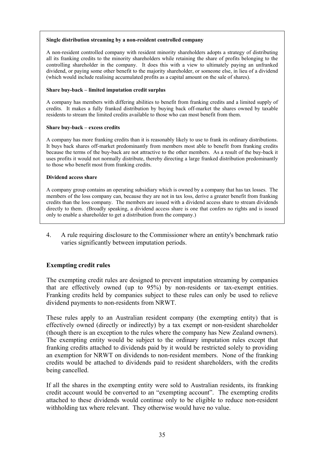#### **Single distribution streaming by a non-resident controlled company**

A non-resident controlled company with resident minority shareholders adopts a strategy of distributing all its franking credits to the minority shareholders while retaining the share of profits belonging to the controlling shareholder in the company. It does this with a view to ultimately paying an unfranked dividend, or paying some other benefit to the majority shareholder, or someone else, in lieu of a dividend (which would include realising accumulated profits as a capital amount on the sale of shares).

#### **Share buy-back – limited imputation credit surplus**

A company has members with differing abilities to benefit from franking credits and a limited supply of credits. It makes a fully franked distribution by buying back off-market the shares owned by taxable residents to stream the limited credits available to those who can most benefit from them.

#### **Share buy-back – excess credits**

A company has more franking credits than it is reasonably likely to use to frank its ordinary distributions. It buys back shares off-market predominantly from members most able to benefit from franking credits because the terms of the buy-back are not attractive to the other members. As a result of the buy-back it uses profits it would not normally distribute, thereby directing a large franked distribution predominantly to those who benefit most from franking credits.

#### **Dividend access share**

A company group contains an operating subsidiary which is owned by a company that has tax losses. The members of the loss company can, because they are not in tax loss, derive a greater benefit from franking credits than the loss company. The members are issued with a dividend access share to stream dividends directly to them. (Broadly speaking, a dividend access share is one that confers no rights and is issued only to enable a shareholder to get a distribution from the company.)

4. A rule requiring disclosure to the Commissioner where an entity's benchmark ratio varies significantly between imputation periods.

#### **Exempting credit rules**

The exempting credit rules are designed to prevent imputation streaming by companies that are effectively owned (up to 95%) by non-residents or tax-exempt entities. Franking credits held by companies subject to these rules can only be used to relieve dividend payments to non-residents from NRWT.

These rules apply to an Australian resident company (the exempting entity) that is effectively owned (directly or indirectly) by a tax exempt or non-resident shareholder (though there is an exception to the rules where the company has New Zealand owners). The exempting entity would be subject to the ordinary imputation rules except that franking credits attached to dividends paid by it would be restricted solely to providing an exemption for NRWT on dividends to non-resident members. None of the franking credits would be attached to dividends paid to resident shareholders, with the credits being cancelled.

If all the shares in the exempting entity were sold to Australian residents, its franking credit account would be converted to an "exempting account". The exempting credits attached to these dividends would continue only to be eligible to reduce non-resident withholding tax where relevant. They otherwise would have no value.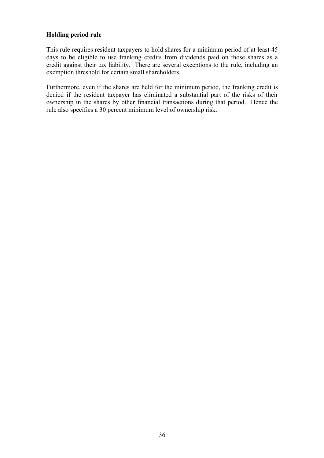#### <span id="page-39-0"></span>**Holding period rule**

This rule requires resident taxpayers to hold shares for a minimum period of at least 45 days to be eligible to use franking credits from dividends paid on those shares as a credit against their tax liability. There are several exceptions to the rule, including an exemption threshold for certain small shareholders.

Furthermore, even if the shares are held for the minimum period, the franking credit is denied if the resident taxpayer has eliminated a substantial part of the risks of their ownership in the shares by other financial transactions during that period. Hence the rule also specifies a 30 percent minimum level of ownership risk.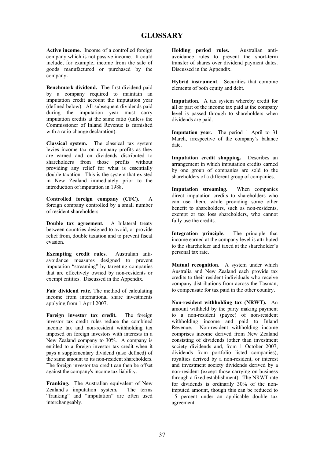**Active income.** Income of a controlled foreign company which is not passive income. It could include, for example, income from the sale of goods manufactured or purchased by the company.

**Benchmark dividend.** The first dividend paid by a company required to maintain an imputation credit account the imputation year (defined below). All subsequent dividends paid during the imputation year must carry imputation credits at the same ratio (unless the Commissioner of Inland Revenue is furnished with a ratio change declaration).

**Classical system.** The classical tax system levies income tax on company profits as they are earned and on dividends distributed to shareholders from those profits without providing any relief for what is essentially double taxation. This is the system that existed in New Zealand immediately prior to the introduction of imputation in 1988.

**Controlled foreign company (CFC).** A foreign company controlled by a small number of resident shareholders.

**Double tax agreement.** A bilateral treaty between countries designed to avoid, or provide relief from, double taxation and to prevent fiscal evasion.

**Exempting credit rules.** Australian antiavoidance measures designed to prevent imputation "streaming" by targeting companies that are effectively owned by non-residents or exempt entities. Discussed in the Appendix.

**Fair dividend rate.** The method of calculating income from international share investments applying from 1 April 2007.

**Foreign investor tax credit.** The foreign investor tax credit rules reduce the combined income tax and non-resident withholding tax imposed on foreign investors with interests in a New Zealand company to 30%. A company is entitled to a foreign investor tax credit when it pays a supplementary dividend (also defined) of the same amount to its non-resident shareholders. The foreign investor tax credit can then be offset against the company's income tax liability.

**Franking.** The Australian equivalent of New Zealand's imputation system**.** The terms "franking" and "imputation" are often used interchangeably.

**Holding period rules.** Australian antiavoidance rules to prevent the short-term transfer of shares over dividend payment dates. Discussed in the Appendix.

**Hybrid instrument**. Securities that combine elements of both equity and debt.

**Imputation.** A tax system whereby credit for all or part of the income tax paid at the company level is passed through to shareholders when dividends are paid.

**Imputation year.** The period 1 April to 31 March, irrespective of the company's balance date.

**Imputation credit shopping.** Describes an arrangement in which imputation credits earned by one group of companies are sold to the shareholders of a different group of companies.

**Imputation streaming.** When companies direct imputation credits to shareholders who can use them, while providing some other benefit to shareholders, such as non-residents, exempt or tax loss shareholders, who cannot fully use the credits.

**Integration principle.** The principle that income earned at the company level is attributed to the shareholder and taxed at the shareholder's personal tax rate.

**Mutual recognition.** A system under which Australia and New Zealand each provide tax credits to their resident individuals who receive company distributions from across the Tasman, to compensate for tax paid in the other country.

**Non-resident withholding tax (NRWT).** An amount withheld by the party making payment to a non-resident (payee) of non-resident withholding income and paid to Inland Revenue. Non-resident withholding income comprises income derived from New Zealand consisting of dividends (other than investment society dividends and, from 1 October 2007, dividends from portfolio listed companies), royalties derived by a non-resident, or interest and investment society dividends derived by a non-resident (except those carrying on business through a fixed establishment). The NRWT rate for dividends is ordinarily 30% of the nonimputed amount, though this can be reduced to 15 percent under an applicable double tax agreement.